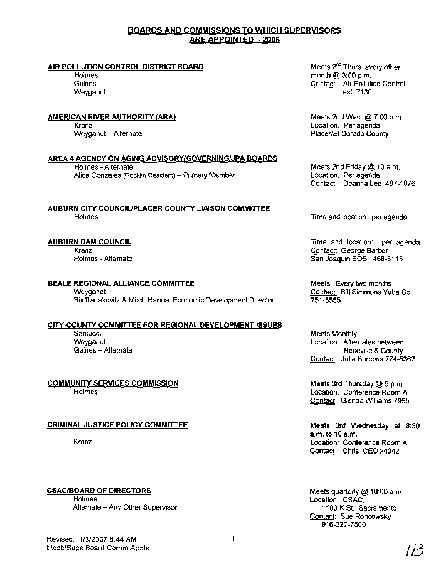# **SSlONS TO WHICH SUPERVISORS ARE APPOINTED - 2006**

### **AIR POLLUTION CONTROL DISTRICT BOARD**

Holmes Gaines Weygandt

### **AMERICAN RIVER AUTHORITY (ARA)**

Kranz Weygandt - Alternate

### **AREA 4 AGENCY ON AGING ADVISORYIGOVERNINGIJPA BOARDS**

Holmes - Alternate Meets 2nd Friday @ 10 a.m. Alice Gonzales (Rocklin Resident) - Primary Member Location: Per agenda

**AUBURN CITY COUNCIUPLACER COUNTY LIAISON COMMllTEE**  Holmes Time and location: per agenda

### **AUBURN DAM COUNCIL**

Kranz Holmes - Alternate

### **BEALE REGIONAL ALLIANCE COMMITTEE Meets: Every two months**

Weygandt Contact: Bill Simmons Yuba Co Bill Radakovitz & Mitch Hanna, Economic Development Director 751-8555

### **CITY-COUNTY COMMITTEE FOR REGIONAL DEVELOPMENT ISSUES**

Santucci Meets Monthly

### **COMMUNITY SERVICES COMMISSION**

Holmes

### **CRIMINAL JUSTICE POLICY COMMITTEE**

Kranz

### **CSACIBOARD OF DIRECTORS**

Holmes Alternate - Any Other Supervisor Meets 2nd Wed. @ 7:00 p.m. Location: Per agenda Placer/El Dorado County

Contact: Deanna Lee 487-1876

Time and location: per agenda Contact: George Barber San Joaquin BOS 468-3113

Weygandt Location: Alternates between Gaines - Alternate Roseville & County Contact: Julia Burrows 774-5362

> Meets 3rd Thursday @ 5 p.m. Location: Conference Room A. Contact: Glenda Williams 7965

Meets 3rd Wednesday at 8:30 a.m. to 10 a.m. Location: Conference Room A Contact: Chris, CEO x4042

Meets quarterly @ 10:OO a.m. Location: CSAC, 1 100 K St., Sacramento Contact: Sue Roncowsky 916-327-7500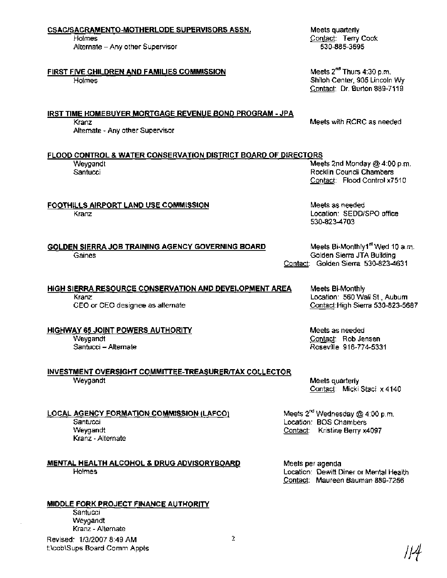### CSACISACRAMENTO-MOTHERLODE SUPERVISORS ASSN.

Holmes Alternate - Any other Supervisor

# FIRST FIVE CHILDREN AND FAMILIES COMMISSION

**Holmes** 

# IRST TIME HOMEBUYER MORTGAGE REVENUE BOND PROGRAM - JPA

Alternate - Any other Supervisor

FLOOD CONTROL & WATER CONSERVATION DISTRICT BOARD OF DIRECTORS<br>Mee

# FOOTHILLS AIRPORT LAND USE COMMISSION

Kranz

GOLDEN SIERRA JOB TRAINING AGENCY GOVERNING BOARD Meets Bi-Monthly1<sup>st</sup> Wed 10 a.m. Gaines Golden Sierra JTA Building

# HIGH SIERRA RESOURCE CONSERVATION AND DEVELOPMENT AREA Meets Bi-Monthly

CEO or CEO designee as alternate

HIGHWAY 65 JOINT POWERS AUTHORITY Weygandt Santucci - Alternate

### INVESTMENT OVERSIGHT COMMITTEE-TREASURERITAX COLLECTOR Weygandt

LOCAL AGENCY FORMATION COMMISSION (LAFCO) **Santucci** Weygandt Kranz - Alternate

# MENTAL HEALTH ALCOHOL & DRUG ADVISORYBOARD Holmes

# MIDDLE FORK PROJECT FINANCE AUTHORITY

**Santucci** Weygandt Kranz - Alternate Revised: 1/3/2007 8:49 AM t:\cob\Sups Board Comm Appts Meets quarterly Contact: Terry Cook 530-885-3695

Meets 2<sup>nd</sup> Thurs 4:30 p.m. Shiloh Center, 905 Lincoln Wy Contact: Dr. Burton 889-7119

Kranz **Meets with RCRC as needed Meets** with RCRC as needed

Weygandt **Meets 2nd Monday @ 4:00 p.m.**<br>
Santucci **Meets 2nd Monday @ 4:00 p.m.**<br>
Rocklin Council Chambers Rocklin Council Chambers Contact: Flood Control x7510

> Meets as needed Location: SEDDISPO office 530-823-4703

Contact: Golden Sierra 530-823-4631

Kranz **Communist Communist Communist Communist Communist Communist Communist Communist Communist Communist Communist Communist Communist Communist Communist Communist Communist Communist Communist Communist Communist Commu** 

Meets as needed Contact: Rob Jensen Roseville 916-774-5331

Meets quarterly Contact: Micki Staci x 4140

Meets  $2^{nd}$  Wednesday @ 4:00 p.m. Location: BOS Chambers Contact: Kristine Berry x4097

Meets per agenda Location: Dewitt Diner or Mental Health Contact: Maureen Bauman 889-7256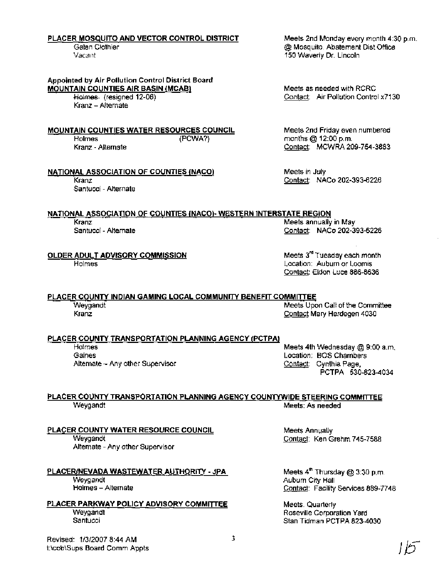### PLACER MOSQUITO AND VECTOR CONTROL DISTRICT Meets 2nd Monday every month 4:30 p.m.

### Appointed by Air Pollution Control District Board MOUNTAIN COUNTIES AIR BASIN (MCAB)

Holmes- (resigned 12-06) Kranz - Alternate

MOUNTAIN COUNTIES WATER RESOURCES COUNCIL

Holmes ( PCWA?) Kranz - Alternate

### NATIONAL ASSOCIATION OF COUNTIES (NACO)

Kranz Santucci - Alternate

Galen Clothier **Galen Clothier Clothier Clothier Clothier Clothier Clothier Clothier Clothier Clothier Clothier**<br>
Vacant Clothier Clothier Clothier Clothier Clothier Clothier Clothier Clothier Clothier Clothier Clothier Cl 150 Waverly Dr. Lincoln

> Meets as needed with RCRC Contact: Air Pollution Control x7130

Meets 2nd Friday even numbered months @ 12:OO p.m. Contact: MCWRA 209-754-3883

Meets in July Contact: NACo 202-393-6226

Contact: NACo 202-393-6226

Meets  $3<sup>rd</sup>$  Tuesday each month Location: Auburn or Loomis Contact: Eldon Luce 886-8636

Meets annually in May

## NATIONAL ASSOCIATION OF COUNTIES (NAC0)- WESTERN INTERSTATE REGION

Kranz

Santucci - Alternate

OLDER ADULT ADVISORY COMMISSION

Holmes

# PLACER COUNTY INDIAN GAMING LOCAL COMMUNITY BENEFIT COMMITTEE<br>Weygandt Meets Upo

weygandt Meets Upon Call of the Committee Meets Upon Call of the Committee Meets Upon Call of the Committee Me<br>Rights Contact Mary Herdegen 4030 Contact Mary Herdegen 4030

### PLACER COUNTY TRANSPORTATION PLANNING AGENCY (PCTPA)

Alternate - Any other Supervisor Contact: Cynthia Page,

Holmes Meets 4th Wednesday @ 9:00 a.m.<br>Gaines Meets 4th Wednesday @ 9:00 a.m.<br>Caines Location: BOS Chambers PCTPA 530-823-4034

#### PLACER COUNTY TRANSPORTATION PLANNING AGENCY COUNTYWIDE STEERING COMMITTEE Weygandt Meets: As needed

PLACER COUNTY WATER RESOURCE COUNCIL Weygandt

Alternate - Any other Supervisor

PLACEWNEVADA WASTEWATER AUTHORITY - JPA Weygandt Holmes - Alternate

PLACER PARKWAY POLICY ADVISORY COMMITTEE **Wevgandt Santucci** 

Meets Annually Contact: Ken Grehrn 745-7588

Meets 4<sup>th</sup> Thursday @ 3:30 p.m. Auburn City Hall Contact: Facility Services 889-7748

Meets. Quarterly Roseville Corporation Yard Stan Tidman PCTPA 823-4030

Revised: 1/3/2007 8:44 AM t:\cob\Sups Board Comm Appts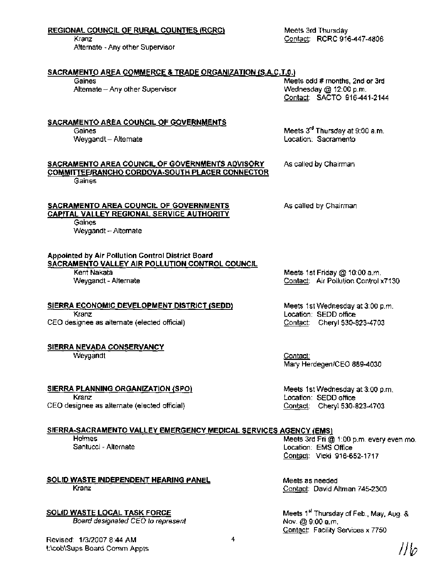| <u>REGIONAL COUNCIL OF RURAL COUNTIES (RCRC)</u><br>Kranz<br>Alternate - Any other Supervisor                                                      | Meets 3rd Thursday<br>Contact: RCRC 916-447-4806                                                |  |
|----------------------------------------------------------------------------------------------------------------------------------------------------|-------------------------------------------------------------------------------------------------|--|
| SACRAMENTO AREA COMMERCE & TRADE ORGANIZATION (S.A.C.T.0.)<br>Gaines<br>Altemate - Any other Supervisor                                            | Meets odd # months, 2nd or 3rd<br>Wednesday @ 12:00 p.m.<br>Contact: SACTO 916-441-2144         |  |
| SACRAMENTO AREA COUNCIL OF GOVERNMENTS<br>Gaines<br>Weygandt - Alternate                                                                           | Meets 3 <sup>rd</sup> Thursday at 9:00 a.m.<br>Location: Sacramento                             |  |
| SACRAMENTO AREA COUNCIL OF GOVERNMENTS ADVISORY<br>COMMITTEE/RANCHO CORDOVA-SOUTH PLACER CONNECTOR<br>Gaines                                       | As called by Chairman                                                                           |  |
| SACRAMENTO AREA COUNCIL OF GOVERNMENTS<br><b>CAPITAL VALLEY REGIONAL SERVICE AUTHORITY</b><br>Gaines<br>Weygandt - Alternate                       | As called by Chairman                                                                           |  |
| Appointed by Air Pollution Control District Board<br><u>SACRAMENTO VALLEY AIR POLLUTION CONTROL COUNCIL</u><br>Kent Nakata<br>Weygandt - Alternate | Meets 1st Friday @ 10:00 a.m.<br>Contact: Air Pollution Control x7130                           |  |
| SIERRA ECONOMIC DEVELOPMENT DISTRICT (SEDD)<br>Kranz<br>CEO designee as alternate (elected official)                                               | Meets 1st Wednesday at 3:00 p.m.<br>Location: SEDD office<br>Contact: Cheryl 530-823-4703       |  |
| SIERRA NEVADA CONSERVANCY<br>Weygandt                                                                                                              | <u>Contact:</u><br>Mary Herdegen/CEO 889-4030                                                   |  |
| SIERRA PLANNING ORGANIZATION (SPO)<br>Kranz<br>CEO designee as alternate (elected official)                                                        | Meets 1st Wednesday at 3:00 p.m.<br>Location: SEDD office<br>Contact: Cheryl 530-823-4703       |  |
| SIERRA-SACRAMENTO VALLEY EMERGENCY MEDICAL SERVICES AGENCY (EMS)                                                                                   |                                                                                                 |  |
| Holmes<br>Santucci - Alternate                                                                                                                     | Meets 3rd Fri @ 1:00 p.m. every even mo.<br>Location: EMS Office<br>Contact: Vicki 916-652-1717 |  |

SOLID WASTE INDEPENDENT HEARING PANEL Kranz

SOLID WASTE LOCAL TASK FORCE **Board designated CEO to represent** 

 $\overline{\mathbf{4}}$ 

Meets as needed

Nov. @ 9:00 a.m.

Contact: David Altman 745-2300

Contact: Facility Services x 7750

Meets 1<sup>st</sup> Thursday of Feb., May, Aug. &